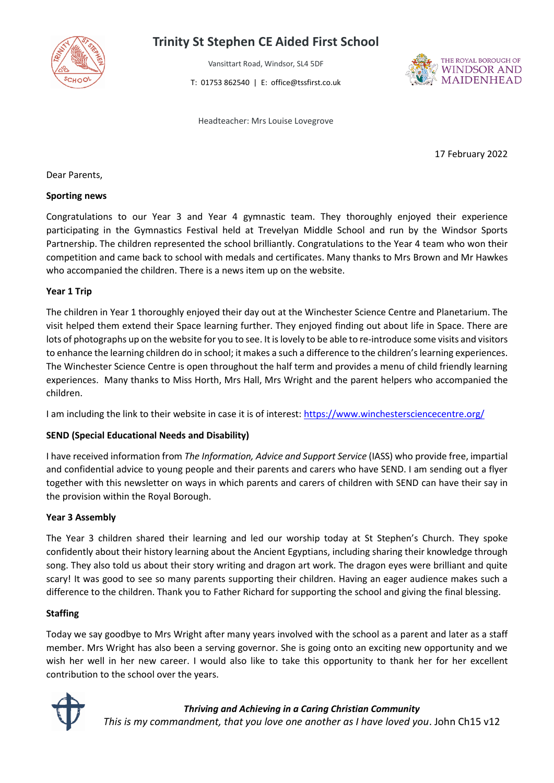

# **Trinity St Stephen CE Aided First School**

Vansittart Road, Windsor, SL4 5DF T: 01753 862540 | E: office@tssfirst.co.uk



Headteacher: Mrs Louise Lovegrove

17 February 2022

Dear Parents,

#### **Sporting news**

Congratulations to our Year 3 and Year 4 gymnastic team. They thoroughly enjoyed their experience participating in the Gymnastics Festival held at Trevelyan Middle School and run by the Windsor Sports Partnership. The children represented the school brilliantly. Congratulations to the Year 4 team who won their competition and came back to school with medals and certificates. Many thanks to Mrs Brown and Mr Hawkes who accompanied the children. There is a news item up on the website.

### **Year 1 Trip**

The children in Year 1 thoroughly enjoyed their day out at the Winchester Science Centre and Planetarium. The visit helped them extend their Space learning further. They enjoyed finding out about life in Space. There are lots of photographs up on the website for you to see. It is lovely to be able to re-introduce some visits and visitors to enhance the learning children do in school; it makes a such a difference to the children's learning experiences. The Winchester Science Centre is open throughout the half term and provides a menu of child friendly learning experiences. Many thanks to Miss Horth, Mrs Hall, Mrs Wright and the parent helpers who accompanied the children.

I am including the link to their website in case it is of interest[: https://www.winchestersciencecentre.org/](https://www.winchestersciencecentre.org/)

## **SEND (Special Educational Needs and Disability)**

I have received information from *The Information, Advice and Support Service* (IASS) who provide free, impartial and confidential advice to young people and their parents and carers who have SEND. I am sending out a flyer together with this newsletter on ways in which parents and carers of children with SEND can have their say in the provision within the Royal Borough.

#### **Year 3 Assembly**

The Year 3 children shared their learning and led our worship today at St Stephen's Church. They spoke confidently about their history learning about the Ancient Egyptians, including sharing their knowledge through song. They also told us about their story writing and dragon art work. The dragon eyes were brilliant and quite scary! It was good to see so many parents supporting their children. Having an eager audience makes such a difference to the children. Thank you to Father Richard for supporting the school and giving the final blessing.

## **Staffing**

Today we say goodbye to Mrs Wright after many years involved with the school as a parent and later as a staff member. Mrs Wright has also been a serving governor. She is going onto an exciting new opportunity and we wish her well in her new career. I would also like to take this opportunity to thank her for her excellent contribution to the school over the years.



*Thriving and Achieving in a Caring Christian Community This is my commandment, that you love one another as I have loved you*. John Ch15 v12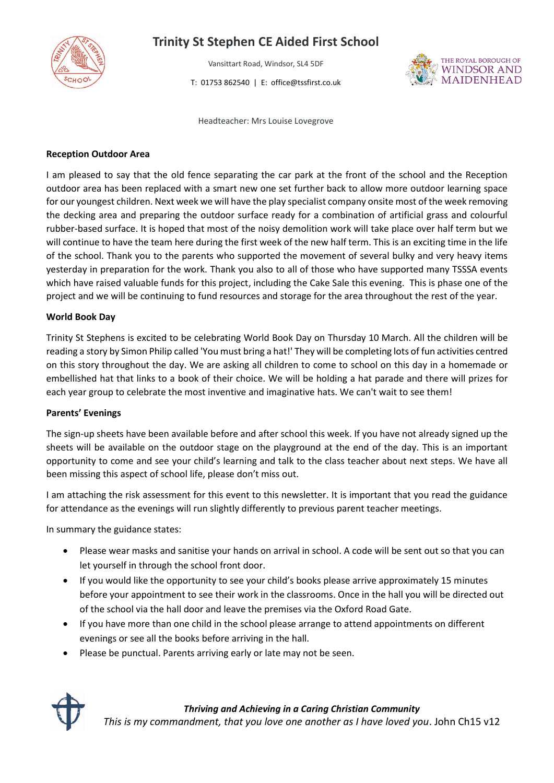

# **Trinity St Stephen CE Aided First School**

Vansittart Road, Windsor, SL4 5DF T: 01753 862540 | E: office@tssfirst.co.uk



Headteacher: Mrs Louise Lovegrove

### **Reception Outdoor Area**

I am pleased to say that the old fence separating the car park at the front of the school and the Reception outdoor area has been replaced with a smart new one set further back to allow more outdoor learning space for our youngest children. Next week we will have the play specialist company onsite most of the week removing the decking area and preparing the outdoor surface ready for a combination of artificial grass and colourful rubber-based surface. It is hoped that most of the noisy demolition work will take place over half term but we will continue to have the team here during the first week of the new half term. This is an exciting time in the life of the school. Thank you to the parents who supported the movement of several bulky and very heavy items yesterday in preparation for the work. Thank you also to all of those who have supported many TSSSA events which have raised valuable funds for this project, including the Cake Sale this evening. This is phase one of the project and we will be continuing to fund resources and storage for the area throughout the rest of the year.

### **World Book Day**

Trinity St Stephens is excited to be celebrating World Book Day on Thursday 10 March. All the children will be reading a story by Simon Philip called 'You must bring a hat!' They will be completing lots of fun activities centred on this story throughout the day. We are asking all children to come to school on this day in a homemade or embellished hat that links to a book of their choice. We will be holding a hat parade and there will prizes for each year group to celebrate the most inventive and imaginative hats. We can't wait to see them!

#### **Parents' Evenings**

The sign-up sheets have been available before and after school this week. If you have not already signed up the sheets will be available on the outdoor stage on the playground at the end of the day. This is an important opportunity to come and see your child's learning and talk to the class teacher about next steps. We have all been missing this aspect of school life, please don't miss out.

I am attaching the risk assessment for this event to this newsletter. It is important that you read the guidance for attendance as the evenings will run slightly differently to previous parent teacher meetings.

In summary the guidance states:

- Please wear masks and sanitise your hands on arrival in school. A code will be sent out so that you can let yourself in through the school front door.
- If you would like the opportunity to see your child's books please arrive approximately 15 minutes before your appointment to see their work in the classrooms. Once in the hall you will be directed out of the school via the hall door and leave the premises via the Oxford Road Gate.
- If you have more than one child in the school please arrange to attend appointments on different evenings or see all the books before arriving in the hall.
- Please be punctual. Parents arriving early or late may not be seen.



## *Thriving and Achieving in a Caring Christian Community*

*This is my commandment, that you love one another as I have loved you*. John Ch15 v12